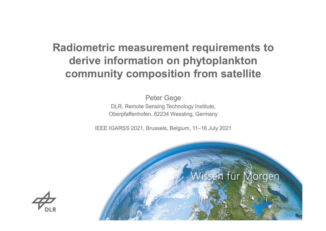# Radiometric measurement requirements to derive information on phytoplankton community composition from satellite

Peter Gege DLR, Remote Sensing Technology Institute, Oberpfaffenhofen, 82234 Wessling, Germany

IEEE IGARSS 2021, Brussels, Belgium, 11–16 July 2021



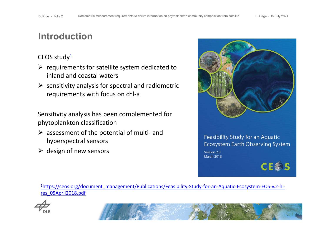## Introduction

### CEOS study<sup>1</sup>

- $\triangleright$  requirements for satellite system dedicated to inland and coastal waters
- $\triangleright$  sensitivity analysis for spectral and radiometric requirements with focus on chl-a

Sensitivity analysis has been complemented for phytoplankton classification

- $\triangleright$  assessment of the potential of multi- and hyperspectral sensors
- $\triangleright$  design of new sensors



### Feasibility Study for an Aquatic Ecosystem Earth Observing System

Version 2.0 **March 2018** 

**CE®S** 

1https://ceos.org/document\_management/Publications/Feasibility-Study-for-an-Aquatic-Ecosystem-EOS-v.2-hires\_05April2018.pdf



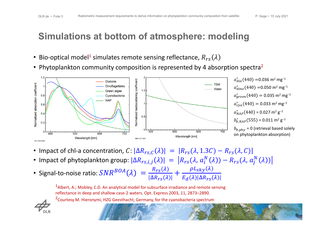## Simulations at bottom of atmosphere: modeling

- Bio-optical model<sup>1</sup> simulates remote sensing reflectance,  $R_{res}(\lambda)$
- Phytoplankton community composition is represented by 4 absorption spectra<sup>2</sup>



- Impact of chl-a concentration,  $C: |\Delta R_{rs,C}(\lambda)| = |R_{rs}(\lambda, 1.3C) R_{rs}(\lambda, C)|$
- Impact of phytoplankton group:  $|\Delta R_{rs,i,j}(\lambda)| = |R_{rs}(\lambda, a_i^N(\lambda)) R_{rs}(\lambda, a_j^N(\lambda))|$
- Signal-to-noise ratio:  $SNR^{BOA}(\lambda) = \frac{R_{rs}(\lambda)}{|\Delta R_{rs}(\lambda)|}$  $|\Delta R_{TS}(\lambda)|$  $+\frac{\rho L_{sky}(\lambda)}{E_{c}(\lambda) \Delta R}$  $E_d(\lambda) |\Delta R_{rs}(\lambda)|$

<sup>1</sup>Albert, A.; Mobley, C.D. An analytical model for subsurface irradiance and remote sensing reflectance in deep and shallow case-2 waters. Opt. Express 2003, 11, 2873–2890.

<sup>2</sup>Courtesy M. Hieronymi, HZG Geesthacht, Germany, for the cyanobacteria spectrum

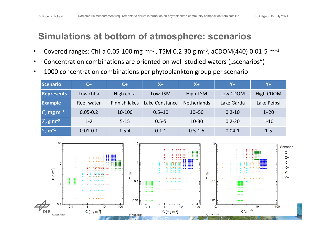## Simulations at bottom of atmosphere: scenarios

- Covered ranges: Chl-a 0.05-100 mg m<sup>-3</sup>, TSM 0.2-30 g m<sup>-3</sup>, aCDOM(440) 0.01-5 m<sup>-1</sup>
- Concentration combinations are oriented on well-studied waters ("scenarios")
- 1000 concentration combinations per phytoplankton group per scenario

| Scenario                           | $C -$        | $C+$                 | $X -$          | $X+$               | $Y -$      | $ Y+$       |
|------------------------------------|--------------|----------------------|----------------|--------------------|------------|-------------|
| <b>Represents</b>                  | Low chl-a    | High chl-a           | Low TSM        | High TSM           | Low CDOM   | High CDOM   |
| <b>Example</b>                     | Reef water   | <b>Finnish lakes</b> | Lake Constance | <b>Netherlands</b> | Lake Garda | Lake Peipsi |
| $\mathcal{C}$ , mg m <sup>-3</sup> | $0.05 - 0.2$ | 10-100               | $0.5 - 10$     | $10 - 50$          | $0.2 - 10$ | $1 - 20$    |
| $X$ , g m <sup>-3</sup>            | $1 - 2$      | $5 - 15$             | $0.5 - 5$      | $10 - 30$          | $0.2 - 20$ | $1 - 10$    |
| $Y$ , m <sup>-1</sup>              | $0.01 - 0.1$ | $1.5 - 4$            | $0.1 - 1$      | $0.5 - 1.5$        | $0.04 - 1$ | $1 - 5$     |

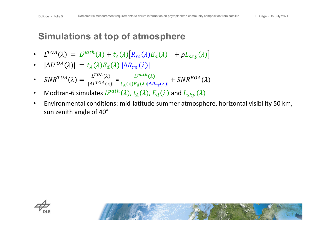# Simulations at top of atmosphere

- $L^{TOA}(\lambda) = L^{path}(\lambda) + t_A(\lambda) [R_{rs}(\lambda) E_d(\lambda) + \rho L_{sky}(\lambda)]$
- $|\Delta L^{TOA}(\lambda)| = t_A(\lambda) E_d(\lambda) |\Delta R_{rs}(\lambda)|$
- $SNR^{TOA}(\lambda) = \frac{L^{TOA}(\lambda)}{1 \Delta L_{TOA}(\lambda)}$  $\frac{L}{|\Delta L^{TOA}(\lambda)|} =$  $L^{path}(\lambda$  $t_A(\lambda) E_d(\lambda) |\Delta R_{rs}(\lambda)|$ +  $SNR^{BOA}(\lambda$
- Modtran-6 simulates  $L^{path}(\lambda)$ ,  $t_A(\lambda)$ ,  $E_d(\lambda)$  and  $L_{sky}(\lambda)$
- Environmental conditions: mid-latitude summer atmosphere, horizontal visibility 50 km, sun zenith angle of 40°



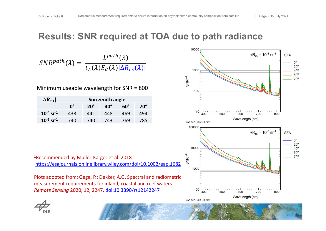### Results: SNR required at TOA due to path radiance



 $SNR^{path}(\lambda) =$  $L^{path}(\lambda$  $t_A(\lambda)E_d(\lambda)|\Delta R_{rs}(\lambda)|$ 

Minimum useable wavelength for SNR =  $800<sup>1</sup>$ 

| $ \Delta R_{rs} $          | Sun zenith angle |              |              |            |            |
|----------------------------|------------------|--------------|--------------|------------|------------|
|                            | $0^{\circ}$      | $20^{\circ}$ | $40^{\circ}$ | $60^\circ$ | $70^\circ$ |
| $10^{-4}$ sr $^{-1}$       | 438              | 441          | 448          | 469        | 494        |
| $10^{-5}$ sr <sup>-1</sup> | 740              | 740          | 743          | 769        | 785        |

1Recommended by Muller-Karger et al. 2018 https://esajournals.onlinelibrary.wiley.com/doi/10.1002/eap.1682

Plots adopted from: Gege, P.; Dekker, A.G. Spectral and radiometric measurement requirements for inland, coastal and reef waters. *Remote Sensing* 2020, 12, 2247. doi:10.3390/rs12142247

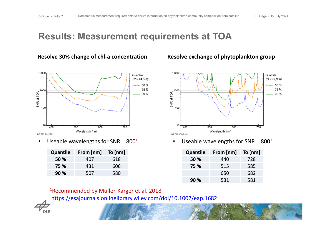### Results: Measurement requirements at TOA



• Useable wavelengths for SNR =  $800<sup>1</sup>$  • Useable wavelengths for SNR =  $800<sup>1</sup>$ 

| <b>Quantile</b> | From [nm] | To $[nm]$ |
|-----------------|-----------|-----------|
| 50 %            | 407       | 618       |
| 75 %            | 431       | 606       |
| 90%             | 507       | 580       |

### **Resolve 30% change of chl-a concentration Resolve exchange of phytoplankton group**



| <b>Quantile</b> | From [nm] | To $[nm]$ |
|-----------------|-----------|-----------|
| 50 %            | 440       | 728       |
| 75 %            | 515       | 585       |
|                 | 650       | 682       |
| 90 %            | 531       | 581       |

1Recommended by Muller-Karger et al. 2018

https://esajournals.onlinelibrary.wiley.com/doi/10.1002/eap.1682